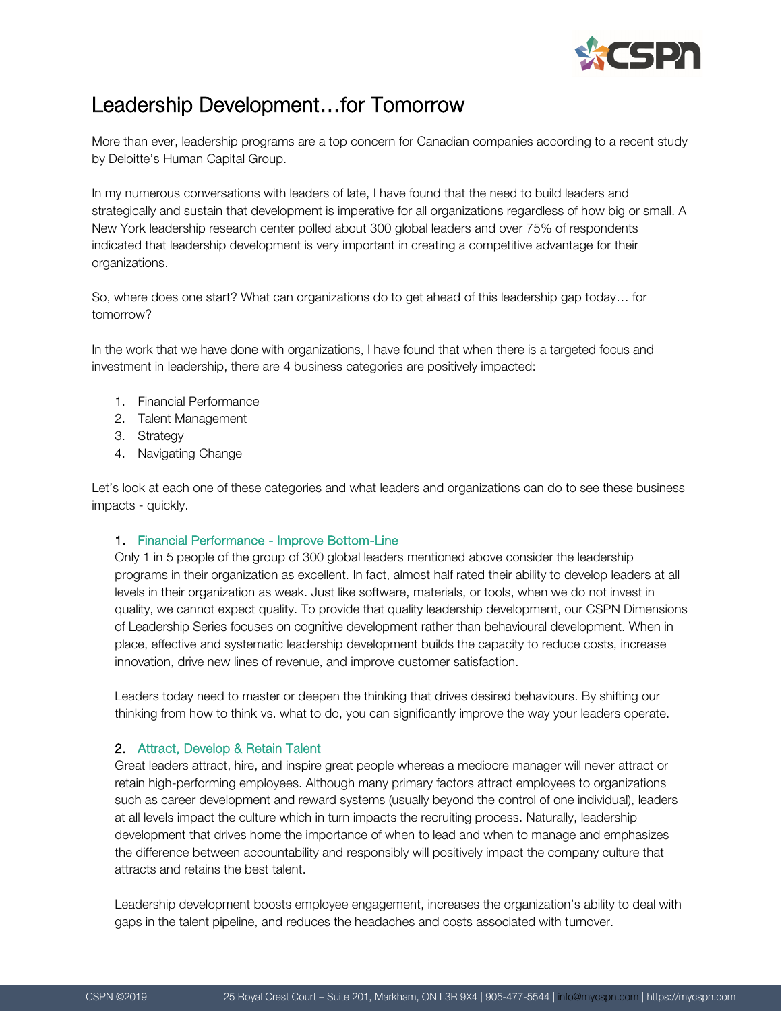

# Leadership Development…for Tomorrow

More than ever, leadership programs are a top concern for Canadian companies according to a recent study by Deloitte's Human Capital Group.

In my numerous conversations with leaders of late, I have found that the need to build leaders and strategically and sustain that development is imperative for all organizations regardless of how big or small. A New York leadership research center polled about 300 global leaders and over 75% of respondents indicated that leadership development is very important in creating a competitive advantage for their organizations.

So, where does one start? What can organizations do to get ahead of this leadership gap today… for tomorrow?

In the work that we have done with organizations, I have found that when there is a targeted focus and investment in leadership, there are 4 business categories are positively impacted:

- 1. Financial Performance
- 2. Talent Management
- 3. Strategy
- 4. Navigating Change

Let's look at each one of these categories and what leaders and organizations can do to see these business impacts - quickly.

### 1. Financial Performance - Improve Bottom-Line

Only 1 in 5 people of the group of 300 global leaders mentioned above consider the leadership programs in their organization as excellent. In fact, almost half rated their ability to develop leaders at all levels in their organization as weak. Just like software, materials, or tools, when we do not invest in quality, we cannot expect quality. To provide that quality leadership development, our CSPN Dimensions of Leadership Series focuses on cognitive development rather than behavioural development. When in place, effective and systematic leadership development builds the capacity to reduce costs, increase innovation, drive new lines of revenue, and improve customer satisfaction.

Leaders today need to master or deepen the thinking that drives desired behaviours. By shifting our thinking from how to think vs. what to do, you can significantly improve the way your leaders operate.

### 2. Attract, Develop & Retain Talent

Great leaders attract, hire, and inspire great people whereas a mediocre manager will never attract or retain high-performing employees. Although many primary factors attract employees to organizations such as career development and reward systems (usually beyond the control of one individual), leaders at all levels impact the culture which in turn impacts the recruiting process. Naturally, leadership development that drives home the importance of when to lead and when to manage and emphasizes the difference between accountability and responsibly will positively impact the company culture that attracts and retains the best talent.

Leadership development boosts employee engagement, increases the organization's ability to deal with gaps in the talent pipeline, and reduces the headaches and costs associated with turnover.